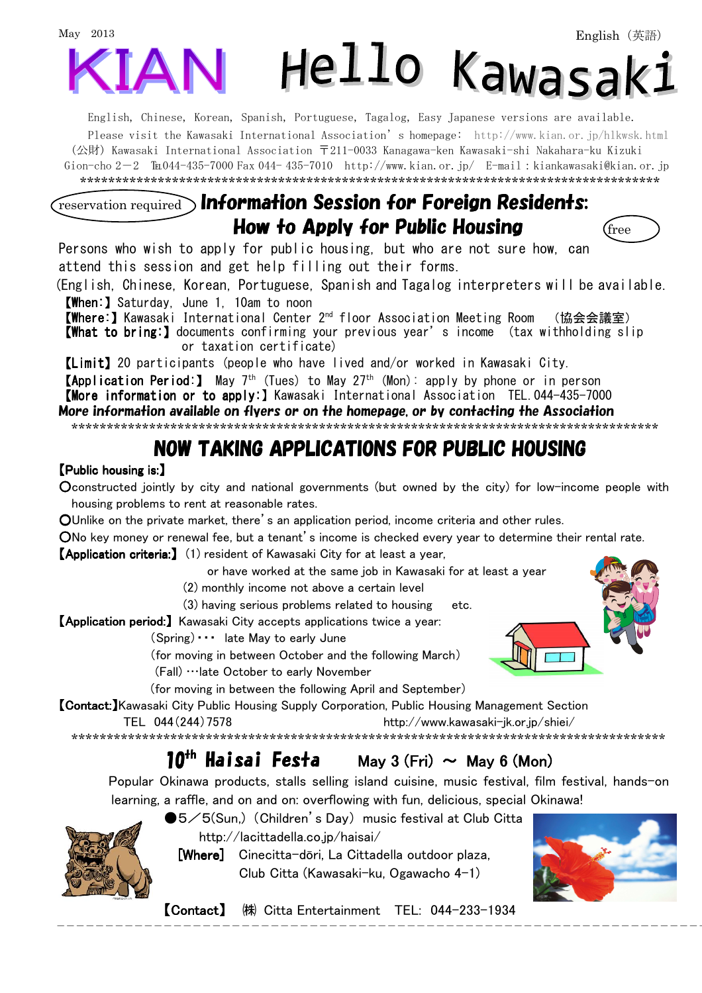

English, Chinese, Korean, Spanish, Portuguese, Tagalog, Easy Japanese versions are available. Please visit the Kawasaki International Association's homepage: http://www.kian.or.jp/hlkwsk.html (公財) Kawasaki International Association 〒211-0033 Kanagawa-ken Kawasaki-shi Nakahara-ku Kizuki Gion-cho 2-2 ℡044-435-7000 Fax 044- 435-7010 http://www.kian.or.jp/ E-mail:kiankawasaki@kian.or.jp \*\*\*\*\*\*\*\*\*\*\*\*\*\*\*\*\*\*\*\*\*\*\*\*\*\*\*\*\*\*\*\*\*\*\*\*\*\*\*\*\*\*\*\*\*\*\*\*\*\*\*\*\*\*\*\*\*\*\*\*\*\*\*\*\*\*\*\*\*\*\*\*\*\*\*\*\*\*\*\*\*\*

#### $\widehat{r_{\text{reservation required}}}$  Information Session for Foreign Residents: How to Apply for Public Housing  $\int_{\text{free}}$



Persons who wish to apply for public housing, but who are not sure how, can attend this session and get help filling out their forms.

(English, Chinese, Korean, Portuguese, Spanish and Tagalog interpreters will be available. 【When:】Saturday, June 1, 10am to noon

【Where: 【Where:】Kawasaki International Center 2nd floor Association Meeting Room (協会会議室)

【What to bring:】documents confirming your previous year's income (tax withholding slip or taxation certificate)

【Limit】20 participants (people who have lived and/or worked in Kawasaki City.

**【Application Period:】** May 7<sup>th</sup> (Tues) to May 27<sup>th</sup> (Mon): apply by phone or in person

【More information or to apply:】Kawasaki International Association TEL.044-435-7000

More information available on flyers or on the homepage, or by contacting the Association

\*\*\*\*\*\*\*\*\*\*\*\*\*\*\*\*\*\*\*\*\*\*\*\*\*\*\*\*\*\*\*\*\*\*\*\*\*\*\*\*\*\*\*\*\*\*\*\*\*\*\*\*\*\*\*\*\*\*\*\*\*\*\*\*\*\*\*\*\*\*\*\*\*\*\*\*\*\*\*\*\*\*\*

#### NOW TAKING APPLICATIONS FOR PUBLIC HOUSING

#### 【Public housing is: Public is:】

Oconstructed jointly by city and national governments (but owned by the city) for low-income people with housing problems to rent at reasonable rates.

OUnlike on the private market, there's an application period, income criteria and other rules.

ONo key money or renewal fee, but a tenant's income is checked every year to determine their rental rate.

**【Application criteria:】** (1) resident of Kawasaki City for at least a year,

or have worked at the same job in Kawasaki for at least a year

(2) monthly income not above a certain level

(3) having serious problems related to housing etc.

【Application period:】 Kawasaki City accepts applications twice a year:

(Spring)・・・ late May to early June

(for moving in between October and the following March)

(Fall) …late October to early November

(for moving in between the following April and September)

**【Contact:**】Kawasaki City Public Housing Supply Corporation, Public Housing Management Section

TEL 044(244)7578 http://www.kawasaki-jk.or.jp/shiei/

\*\*\*\*\*\*\*\*\*\*\*\*\*\*\*\*\*\*\*\*\*\*\*\*\*\*\*\*\*\*\*\*\*\*\*\*\*\*\*\*\*\*\*\*\*\*\*\*\*\*\*\*\*\*\*\*\*\*\*\*\*\*\*\*\*\*\*\*\*\*\*\*\*\*\*\*\*\*\*\*\*\*\*\*

## $10^{th}$  Haisai Festa May 3 (Fri)  $\sim$  May 6 (Mon)

Popular Okinawa products, stalls selling island cuisine, music festival, film festival, hands-on learning, a raffle, and on and on: overflowing with fun, delicious, special Okinawa!

 $\overline{\phantom{a}}$ 

●5/5(Sun,) (Children's Day) music festival at Club Citta http://lacittadella.co.jp/haisai/

[Where] Cinecitta-dōri, La Cittadella outdoor plaza, Club Citta (Kawasaki-ku, Ogawacho 4-1)



【Contact】 (株) Citta Entertainment TEL: 044-233-1934